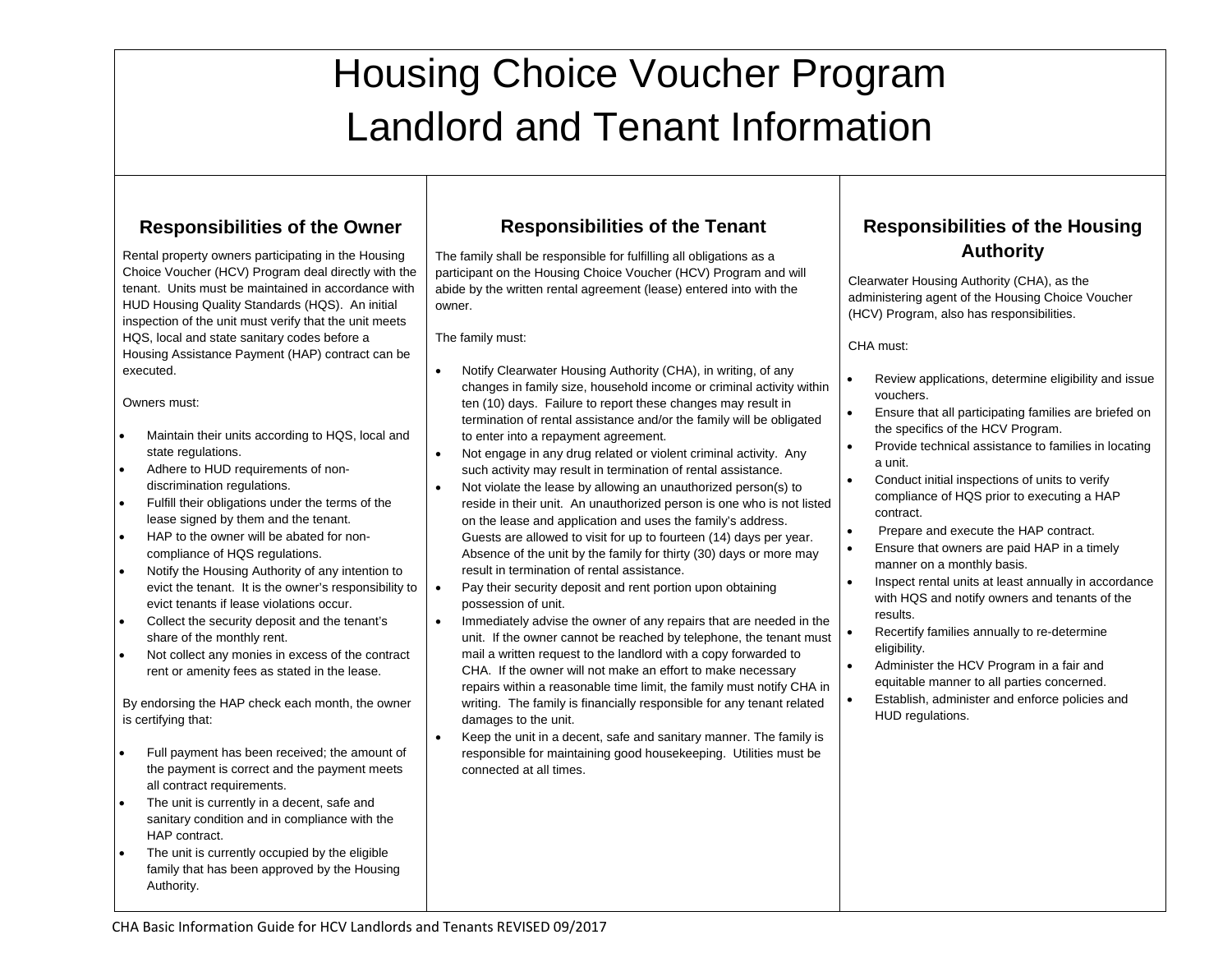# Housing Choice Voucher Program Landlord and Tenant Information

# **Responsibilities of the Owner**

Rental property owners participating in the Housing Choice Voucher (HCV) Program deal directly with the tenant. Units must be maintained in accordance with HUD Housing Quality Standards (HQS). An initial inspection of the unit must verify that the unit meets HQS, local and state sanitary codes before a Housing Assistance Payment (HAP) contract can be executed.

Owners must:

- Maintain their units according to HQS, local and state regulations.
- Adhere to HUD requirements of nondiscrimination regulations.
- Fulfill their obligations under the terms of the lease signed by them and the tenant.
- HAP to the owner will be abated for noncompliance of HQS regulations.
- Notify the Housing Authority of any intention to evict the tenant. It is the owner's responsibility to evict tenants if lease violations occur.
- Collect the security deposit and the tenant's share of the monthly rent.
- Not collect any monies in excess of the contract rent or amenity fees as stated in the lease.

By endorsing the HAP check each month, the owner is certifying that:

- Full payment has been received; the amount of the payment is correct and the payment meets all contract requirements.
- The unit is currently in a decent, safe and sanitary condition and in compliance with the HAP contract.
- The unit is currently occupied by the eligible family that has been approved by the Housing Authority.

#### **Responsibilities of the Tenant**

The family shall be responsible for fulfilling all obligations as a participant on the Housing Choice Voucher (HCV) Program and will abide by the written rental agreement (lease) entered into with the owner.

The family must:

- Notify Clearwater Housing Authority (CHA), in writing, of any changes in family size, household income or criminal activity within ten (10) days. Failure to report these changes may result in termination of rental assistance and/or the family will be obligated to enter into a repayment agreement.
- Not engage in any drug related or violent criminal activity. Any such activity may result in termination of rental assistance.
- Not violate the lease by allowing an unauthorized person(s) to reside in their unit. An unauthorized person is one who is not listed on the lease and application and uses the family's address. Guests are allowed to visit for up to fourteen (14) days per year. Absence of the unit by the family for thirty (30) days or more may result in termination of rental assistance.
- Pay their security deposit and rent portion upon obtaining possession of unit.
- Immediately advise the owner of any repairs that are needed in the unit. If the owner cannot be reached by telephone, the tenant must mail a written request to the landlord with a copy forwarded to CHA. If the owner will not make an effort to make necessary repairs within a reasonable time limit, the family must notify CHA in writing. The family is financially responsible for any tenant related damages to the unit.
- Keep the unit in a decent, safe and sanitary manner. The family is responsible for maintaining good housekeeping. Utilities must be connected at all times.

# **Responsibilities of the Housing Authority**

Clearwater Housing Authority (CHA), as the administering agent of the Housing Choice Voucher (HCV) Program, also has responsibilities.

CHA must:

- Review applications, determine eligibility and issue vouchers.
- Ensure that all participating families are briefed on the specifics of the HCV Program.
- Provide technical assistance to families in locating a unit.
- Conduct initial inspections of units to verify compliance of HQS prior to executing a HAP contract.
- Prepare and execute the HAP contract.
- **Ensure that owners are paid HAP in a timely** manner on a monthly basis.
- Inspect rental units at least annually in accordance with HQS and notify owners and tenants of the results.
- Recertify families annually to re-determine eligibility.
- Administer the HCV Program in a fair and equitable manner to all parties concerned.
- Establish, administer and enforce policies and HUD regulations.